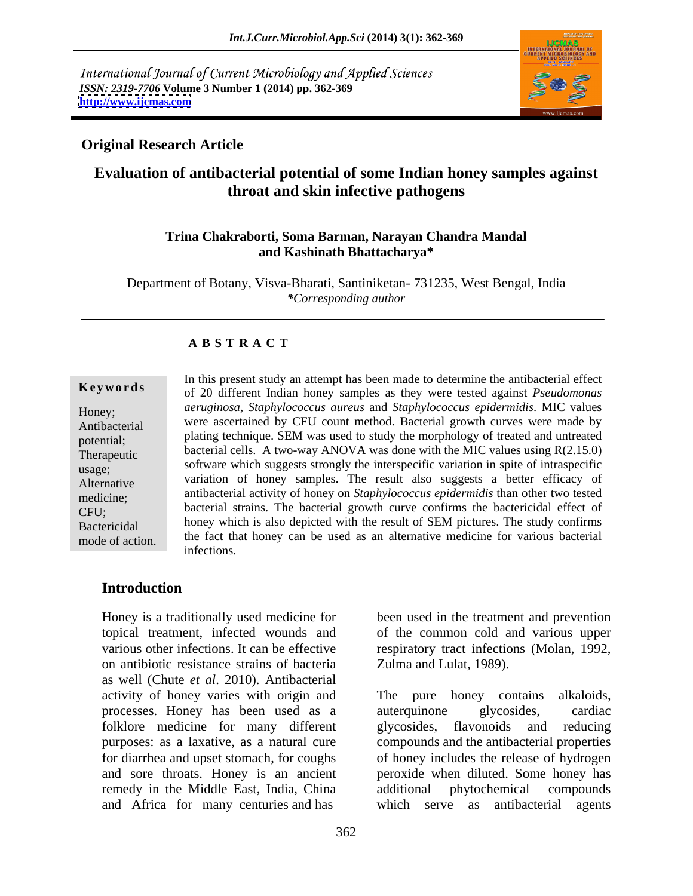International Journal of Current Microbiology and Applied Sciences *ISSN: 2319-7706* **Volume 3 Number 1 (2014) pp. 362-369 <http://www.ijcmas.com>**



### **Original Research Article**

# **Evaluation of antibacterial potential of some Indian honey samples against throat and skin infective pathogens**

### **Trina Chakraborti, Soma Barman, Narayan Chandra Mandal and Kashinath Bhattacharya\***

Department of Botany, Visva-Bharati, Santiniketan- 731235, West Bengal, India *\*Corresponding author*

### **A B S T R A C T**

**Ke ywo rds** of 20 different Indian honey samples as they were tested against *Pseudomonas*  Honey; *aeruginosa*, *Staphylococcus aureus* and *Staphylococcus epidermidis*. MIC values Antibacterial were ascertained by CFU count method. Bacterial growth curves were made by potential; plating technique. SEM was used to study the morphology of treated and untreated plating technique. Therapeutic bacterial cells. A two-way ANOVA was done with the MIC values using  $R(2.15.0)$ software which suggests strongly the interspecific variation in spite of intraspecific usage; Alternative variation of honey samples. The result also suggests a better efficacy of medicine; antibacterial activity of honey on *Staphylococcus epidermidis* than other two tested CFU; bacterial strains. The bacterial growth curve confirms the bactericidal effect of Bactericidal honey which is also depicted with the result of SEM pictures. The study confirms mode of action. the fact that honey can be used as an alternative medicine for various bacterial In this present study an attempt has been made to determine the antibacterial effect infections.

### **Introduction**

Honey is a traditionally used medicine for topical treatment, infected wounds and of the common cold and various upper various other infections. It can be effective respiratory tract infections (Molan, 1992, on antibiotic resistance strains of bacteria as well (Chute *et al*. 2010). Antibacterial activity of honey varies with origin and The pure honey contains alkaloids, processes. Honey has been used as a folklore medicine for many different purposes: as a laxative, as a natural cure compounds and the antibacterial properties for diarrhea and upset stomach, for coughs of honey includes the release of hydrogen and sore throats. Honey is an ancient peroxide when diluted. Some honey has remedy in the Middle East, India, China additional phytochemical compounds and Africa for many centuries and has

The pure honey contains auterquinone glycosides, cardiac glycosides, flavonoids and reducing

Zulma and Lulat, 1989).

additional phytochemical compounds which serve as antibacterial agents

been used in the treatment and prevention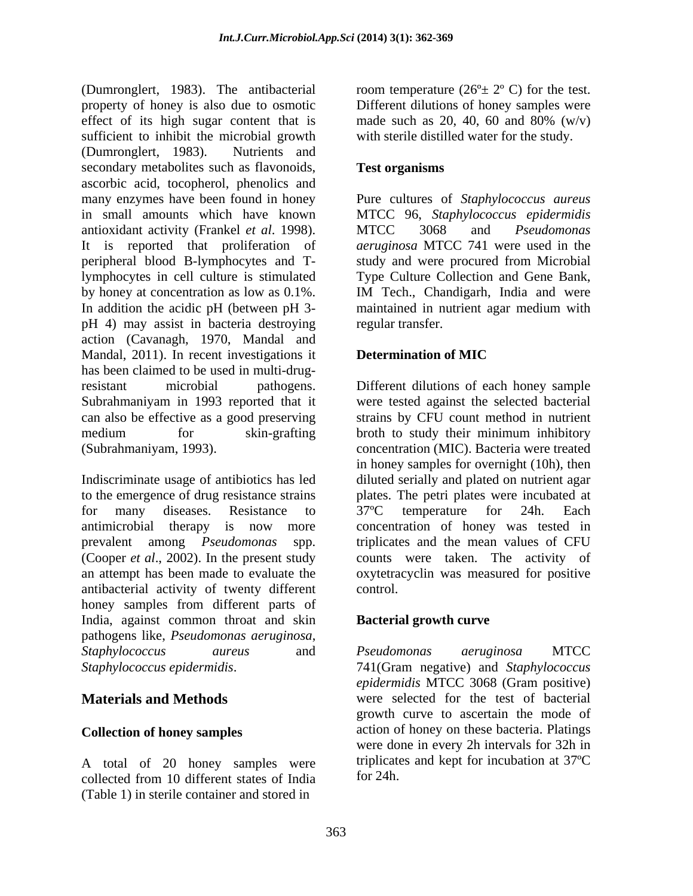(Dumronglert, 1983). The antibacterial property of honey is also due to osmotic effect of its high sugar content that is made such as 20, 40, 60 and 80%  $(w/v)$ sufficient to inhibit the microbial growth<br>(Dumronglert, 1983). Nutrients and (Dumronglert, 1983). Nutrients and secondary metabolites such as flavonoids, Test organisms ascorbic acid, tocopherol, phenolics and many enzymes have been found in honey Pure cultures of *Staphylococcus aureus* in small amounts which have known MTCC 96, *Staphylococcus epidermidis* antioxidant activity (Frankel *et al*. 1998). It is reported that proliferation of peripheral blood B-lymphocytes and T-study and were procured from Microbial lymphocytes in cell culture is stimulated Type Culture Collection and Gene Bank, by honey at concentration as low as  $0.1\%$ . IM Tech., Chandigarh, India and were In addition the acidic pH (between pH 3-<br>maintained in nutrient agar medium with pH 4) may assist in bacteria destroying action (Cavanagh, 1970, Mandal and Mandal, 2011). In recent investigations it **Determination of MIC** has been claimed to be used in multi-drugresistant microbial pathogens. Different dilutions of each honey sample Subrahmaniyam in 1993 reported that it were tested against the selected bacterial can also be effective as a good preserving strains by CFU count method in nutrient medium for skin-grafting broth to study their minimum inhibitory

Indiscriminate usage of antibiotics has led diluted serially and plated on nutrient agar to the emergence of drug resistance strains plates. The petri plates were incubated at for many diseases. Resistance to 37°C temperature for 24h. Each antimicrobial therapy is now more concentration of honey was tested in prevalent among *Pseudomonas* spp. triplicates and the mean values of CFU (Cooper *et al*., 2002). In the present study counts were taken. The activity of an attempt has been made to evaluate the oxytetracyclin was measured for positive antibacterial activity of twenty different honey samples from different parts of India, against common throat and skin pathogens like, *Pseudomonas aeruginosa*, *Staphylococcus aureus* and

A total of 20 honey samples were collected from 10 different states of India (Table 1) in sterile container and stored in

room temperature  $(26^{\circ} \pm 2^{\circ} \text{ C})$  for the test. Different dilutions of honey samples were made such as 20, 40, 60 and 80%  $(w/v)$ with sterile distilled water for the study.

## **Test organisms**

MTCC 3068 and *Pseudomonas aeruginosa* MTCC 741 were used in the IM Tech., Chandigarh, India and were maintained in nutrient agar medium with regular transfer.

### **Determination of MIC**

(Subrahmaniyam, 1993). concentration (MIC). Bacteria were treated in honey samples for overnight (10h), then 37ºC temperature for 24h. Each control.

## **Bacterial growth curve**

*Staphylococcus epidermidis*. 741(Gram negative) and *Staphylococcus*  **Materials and Methods** were selected for the test of bacterial **Collection of honey samples** action of honey on these bacteria. Platings *Pseudomonas aeruginosa* MTCC *epidermidis* MTCC 3068 (Gram positive) growth curve to ascertain the mode of were done in every 2h intervals for 32h in triplicates and kept for incubation at 37ºC for 24h.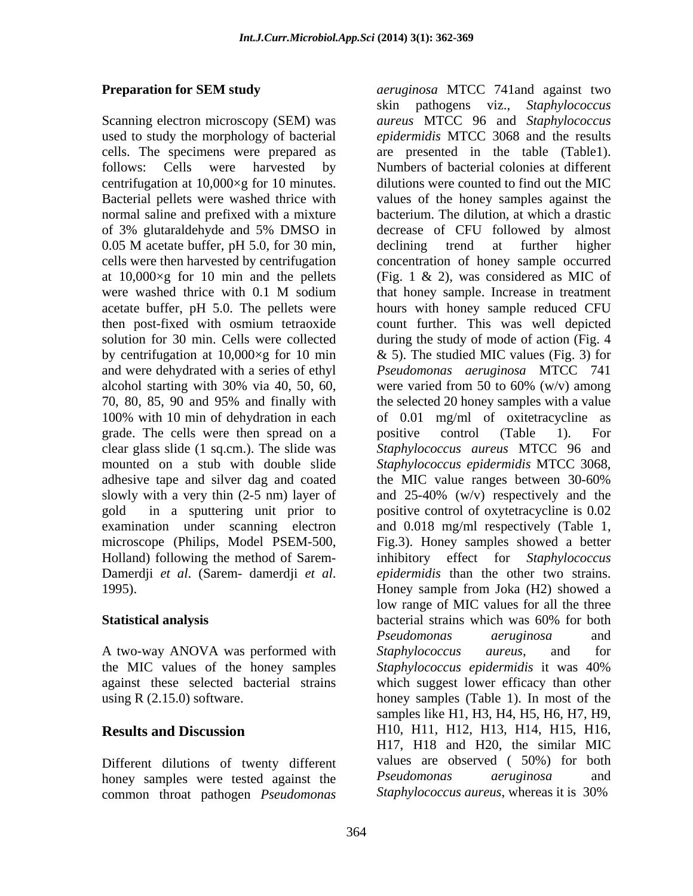centrifugation at 10,000×g for 10 minutes. normal saline and prefixed with a mixture of 3% glutaraldehyde and 5% DMSO in acetate buffer, pH 5.0. The pellets were grade. The cells were then spread on a positive control (Table 1). For mounted on a stub with double slide Staphylococcus epidermidis MTCC 3068, adhesive tape and silver dag and coated the MIC value ranges between 30-60%

A two-way ANOVA was performed with *Staphylococcus aureus*, and for the MIC values of the honey samples Staphylococcus epidermidis it was 40%

Different dilutions of twenty different values are observed (50%) for both honey samples were tested against the *Pseudomonas aeruginosa* and honey samples were tested against the common throat pathogen *Pseudomonas* 

**Preparation for SEM study** *aeruginosa* MTCC 741and against two Scanning electron microscopy (SEM) was *aureus* MTCC 96 and *Staphylococcus*  used to study the morphology of bacterial *epidermidis* MTCC 3068 and the results cells. The specimens were prepared as are presented in the table (Table1). follows: Cells were harvested by Numbers of bacterial colonies at different Bacterial pellets were washed thrice with values of the honey samples against the 0.05 M acetate buffer, pH 5.0, for 30 min, declining trend at further higher cells were then harvested by centrifugation concentration of honey sample occurred at 10,000×g for 10 min and the pellets (Fig. 1 & 2), was considered as MIC of were washed thrice with 0.1 M sodium that honey sample. Increase in treatment then post-fixed with osmium tetraoxide count further. This was well depicted solution for 30 min. Cells were collected during the study of mode of action (Fig. 4 by centrifugation at 10,000×g for 10 min & 5). The studied MIC values (Fig. 3) for and were dehydrated with a series of ethyl *Pseudomonas aeruginosa* MTCC 741 alcohol starting with 30% via 40, 50, 60, were varied from 50 to 60% (w/v) among 70, 80, 85, 90 and 95% and finally with the selected 20 honey samples with a value 100% with 10 min of dehydration in each of 0.01 mg/ml of oxitetracycline as clear glass slide (1 sq.cm.). The slide was *Staphylococcusaureus* MTCC 96 and slowly with a very thin (2-5 nm) layer of and 25-40% (w/v) respectively and the gold in a sputtering unit prior to positive control of oxytetracycline is 0.02 examination under scanning electron and 0.018 mg/ml respectively (Table 1, microscope (Philips, Model PSEM-500, Fig.3). Honey samples showed a better Holland) following the method of Sarem- inhibitory effect for *Staphylococcus*  Damerdji *et al*. (Sarem- damerdji *et al*. 1995). Honey sample from Joka (H2) showed a **Statistical analysis** bacterial strains which was 60% for both against these selected bacterial strains which suggest lower efficacy than other using  $R(2.15.0)$  software. honey samples (Table 1). In most of the **Results and Discussion H10, H11, H12, H13, H14, H15, H16,** skin pathogens viz., *Staphylococcus*  dilutions were counted to find out the MIC bacterium. The dilution, at which a drastic decrease of CFU followed by almost declining trend at further higher that honey sample. Increase in treatment hours with honey sample reduced CFU positive control (Table 1). For *Staphylococcus epidermidis* MTCC 3068, the MIC value ranges between 30-60% *epidermidis* than the other two strains. low range of MIC values for all the three bacterial strains which was 60% for both *Pseudomonas aeruginosa* and *Staphylococcus aureus*, and for *Staphylococcus epidermidis* it was 40% samples like H1, H3, H4, H5, H6, H7, H9, H17, H18 and H20, the similar MIC values are observed ( 50%) for both *Pseudomonas aeruginosa* and *Staphylococcus aureus*, whereas it is 30%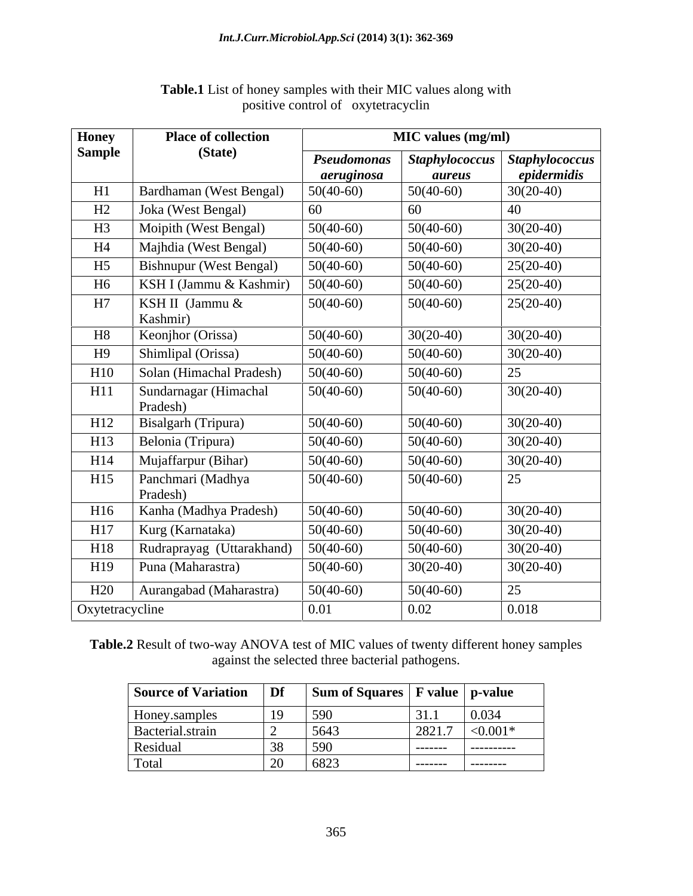| <b>Honey</b>    | <b>Place of collection</b>        |             | <b>MIC</b> values (mg/ml) |                       |
|-----------------|-----------------------------------|-------------|---------------------------|-----------------------|
| <b>Sample</b>   | (State)                           | Pseudomonas | <b>Staphylococcus</b>     | <b>Staphylococcus</b> |
|                 |                                   | aeruginosa  | <i>aureus</i>             | epidermidis           |
| H1              | Bardhaman (West Bengal)           | $50(40-60)$ | $50(40-60)$               | $30(20-40)$           |
| H2              | Joka (West Bengal)                | 60          | 60                        | 40                    |
| H <sub>3</sub>  | Moipith (West Bengal)             | $50(40-60)$ | $50(40-60)$               | $30(20-40)$           |
| H <sub>4</sub>  | Majhdia (West Bengal)             | $50(40-60)$ | $50(40-60)$               | $30(20-40)$           |
| H <sub>5</sub>  | <b>Bishnupur</b> (West Bengal)    | $50(40-60)$ | $50(40-60)$               | $25(20-40)$           |
| H <sub>6</sub>  | KSH I (Jammu & Kashmir)           | $50(40-60)$ | $50(40-60)$               | $25(20-40)$           |
| H7              | KSH II (Jammu &                   | $50(40-60)$ | $50(40-60)$               | $25(20-40)$           |
|                 | Kashmir)                          |             |                           |                       |
| H <sub>8</sub>  | Keonjhor (Orissa)                 | $50(40-60)$ | $30(20-40)$               | $30(20-40)$           |
| H9              | Shimlipal (Orissa)                | $50(40-60)$ | $50(40-60)$               | $30(20-40)$           |
| H10             | Solan (Himachal Pradesh)          | $50(40-60)$ | $50(40-60)$               | 25                    |
| H11             | Sundarnagar (Himachal<br>Pradesh) | $50(40-60)$ | $50(40-60)$               | $30(20-40)$           |
| H12             | Bisalgarh (Tripura)               | $50(40-60)$ | $50(40-60)$               | $30(20-40)$           |
| H13             | Belonia (Tripura)                 | $50(40-60)$ | $50(40-60)$               | $30(20-40)$           |
| H14             | Mujaffarpur (Bihar)               | $50(40-60)$ | $50(40-60)$               | $30(20-40)$           |
| H15             | Panchmari (Madhya<br>Pradesh)     | $50(40-60)$ | $50(40-60)$               | 25                    |
| H16             | Kanha (Madhya Pradesh)            | $50(40-60)$ | $50(40-60)$               | $30(20-40)$           |
| H17             | Kurg (Karnataka)                  | $50(40-60)$ | $50(40-60)$               | $30(20-40)$           |
| H18             | Rudraprayag (Uttarakhand)         | $50(40-60)$ | $50(40-60)$               | $30(20-40)$           |
| H19             | Puna (Maharastra)                 | $50(40-60)$ | $30(20-40)$               | $30(20-40)$           |
| H20             | Aurangabad (Maharastra)           | $50(40-60)$ | $50(40-60)$               | 25                    |
| Oxytetracycline |                                   | 0.01        | 0.02                      | 0.018                 |

## **Table.1** List of honey samples with their MIC values along with positive control of oxytetracyclin

**Table.2** Result of two-way ANOVA test of MIC values of twenty different honey samples against the selected three bacterial pathogens.

| <b>Source of Variation</b> | Df | Sum of Squares   F value |          | p-value     |
|----------------------------|----|--------------------------|----------|-------------|
| Honey.samples              | 19 | 590                      | 31.1     | 0.034       |
| Bacterial.strain           |    | 5643                     | 2821.7   | ${<}0.001*$ |
| Residual                   |    | 590                      | -------- | ----------- |
| Total                      |    | 6823                     | -------- | ---------   |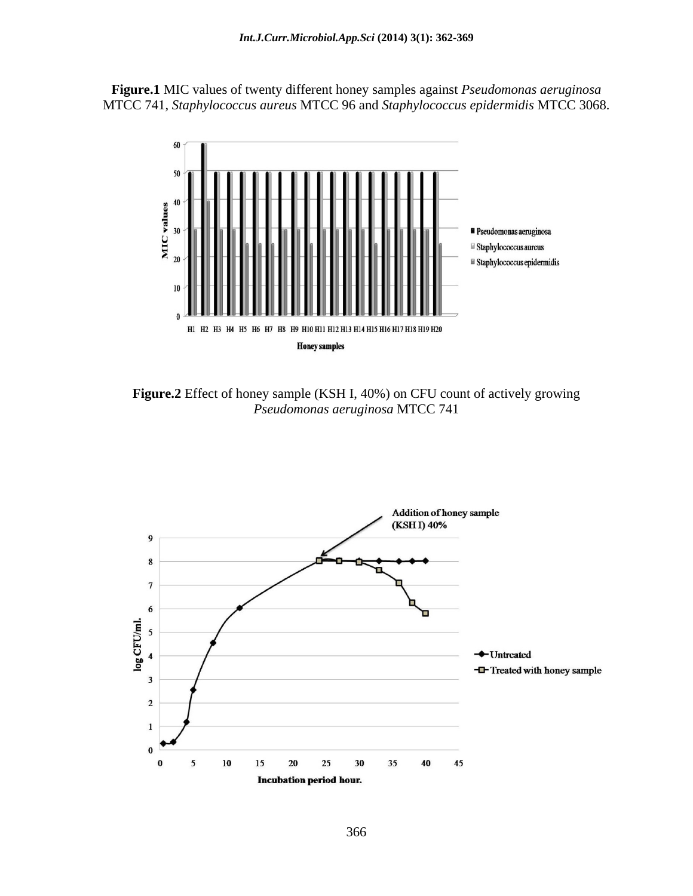**Figure.1** MIC values of twenty different honey samples against *Pseudomonas aeruginosa* MTCC 741, *Staphylococcus aureus* MTCC 96 and *Staphylococcus epidermidis* MTCC 3068.



**Figure.2** Effect of honey sample (KSH I, 40%) on CFU count of actively growing *Pseudomonas aeruginosa* MTCC 741

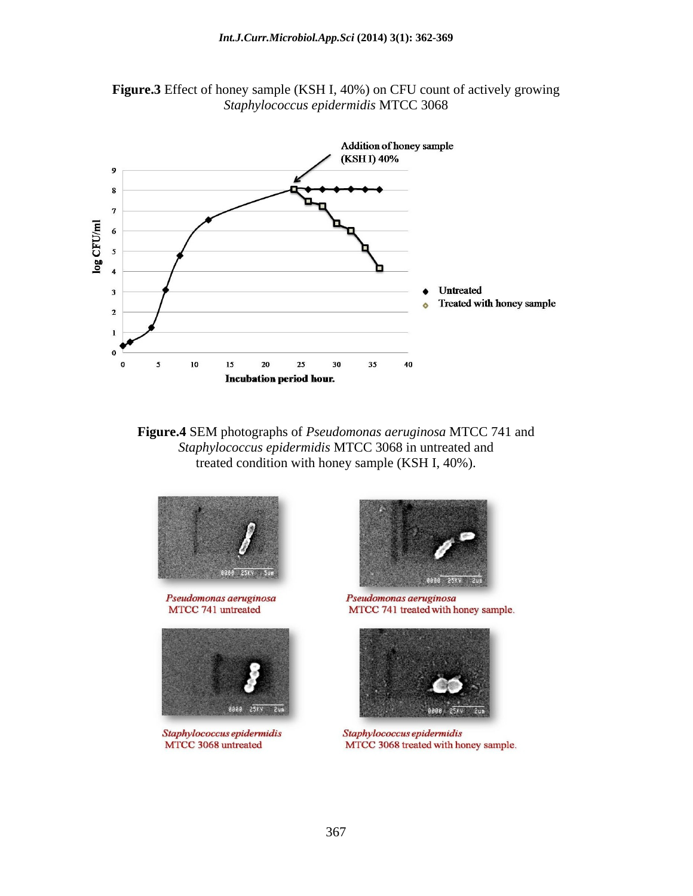

**Figure.3** Effect of honey sample (KSH I, 40%) on CFU count of actively growing *Staphylococcus epidermidis* MTCC 3068

**Figure.4** SEM photographs of *Pseudomonas aeruginosa* MTCC 741 and *Staphylococcus epidermidis* MTCC 3068 in untreated and treated condition with honey sample (KSH I, 40%).



Pseudomonas aeruginosa MTCC 741 untreated



Staphylococcus epidermidis MTCC 3068 untreated



Pseudomonas aeruginosa MTCC 741 treated with honey sample.



Staphylococcus epidermidis MTCC 3068 treated with honey sample.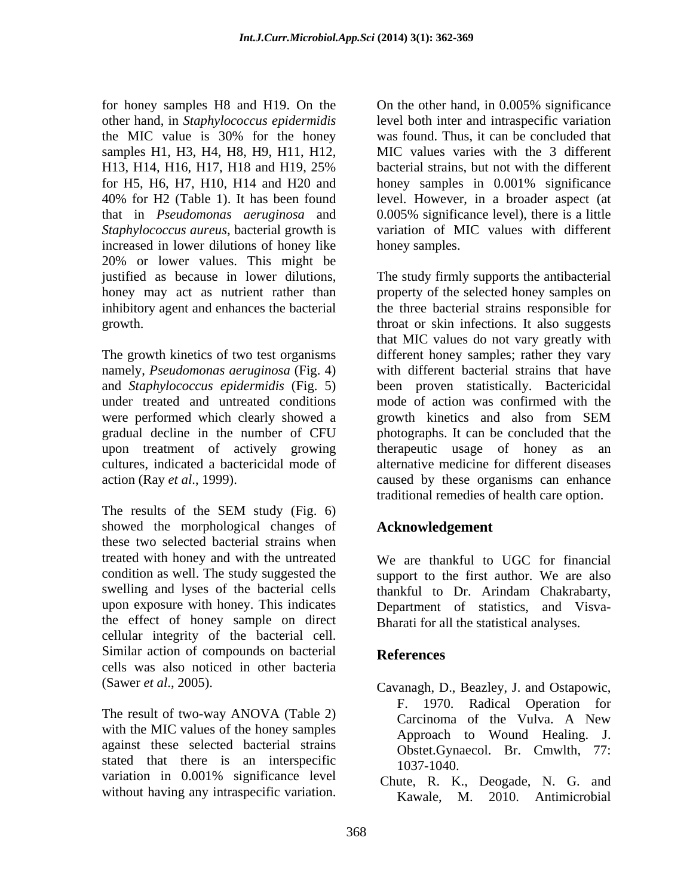for honey samples H8 and H19. On the On the other hand, in 0.005% significance samples H1, H3, H4, H8, H9, H11, H12, for H5, H6, H7, H10, H14 and H20 and honey samples in 0.001% significance *Staphylococcus aureus*, bacterial growth is increased in lower dilutions of honey like 20% or lower values. This might be

The growth kinetics of two test organisms different honey samples; rather they vary namely, *Pseudomonas aeruginosa* (Fig. 4) with different bacterial strains that have and *Staphylococcus epidermidis* (Fig. 5) been proven statistically. Bactericidal under treated and untreated conditions mode of action was confirmed with the were performed which clearly showed a series and also from SEM gradual decline in the number of CFU photographs. It can be concluded that the upon treatment of actively growing cultures, indicated a bactericidal mode of alternative medicine for different diseases action (Ray *et al*., 1999). caused by these organisms can enhance

The results of the SEM study (Fig. 6) showed the morphological changes of these two selected bacterial strains when treated with honey and with the untreated We are thankful to UGC for financial condition as well. The study suggested the support to the first author. We are also swelling and lyses of the bacterial cells thankful to Dr. Arindam Chakrabarty, upon exposure with honey. This indicates the effect of honey sample on direct cellular integrity of the bacterial cell. Similar action of compounds on bacterial References cells was also noticed in other bacteria

The result of two-way ANOVA (Table 2) Carcinoma of the Vulva. A New with the MIC values of the honey samples against these selected bacterial strains stated that there is an interspecific  $1037-1040$ . variation in 0.001% significance level

other hand, in *Staphylococcus epidermidis* level both inter and intraspecific variation the MIC value is 30% for the honey was found. Thus, it can be concluded that H13, H14, H16, H17, H18 and H19, 25% bacterial strains, but not with the different 40% for H2 (Table 1). It has been found level. However, in a broader aspect (at that in *Pseudomonas aeruginosa* and 0.005% significance level), there is a little was found. Thus, it can be concluded that MIC values varies with the 3 different bacterial strains, but not with the different honey samples in 0.001% significance variation of MIC values with different honey samples.

justified as because in lower dilutions, The study firmly supports the antibacterial honey may act as nutrient rather than property of the selected honey samples on inhibitory agent and enhances the bacterial the three bacterial strains responsible for growth. throat or skin infections. It also suggests for homey significance is so that the other hand, in 0.00% significance<br>for hand, in Mappy significance and the other hand, in 0.00% significance<br>member in the other hand, in the other hand, in case of the other hand, in that MIC values do not vary greatly with growth kinetics and also from SEM therapeutic usage of honey as an traditional remedies of health care option.

# **Acknowledgement**

thankful to Dr. Arindam Chakrabarty, Department of statistics, and Visva- Bharati for all the statistical analyses.

# **References**

- (Sawer *et al*., 2005). Cavanagh, D., Beazley, J. and Ostapowic, F. 1970. Radical Operation for Carcinoma of the Vulva. A New Approach to Wound Healing. J. Obstet.Gynaecol. Br. Cmwlth, 77: 1037-1040.
	- Chute, R. K., Deogade, N. G. and Kawale, M. 2010. Antimicrobial